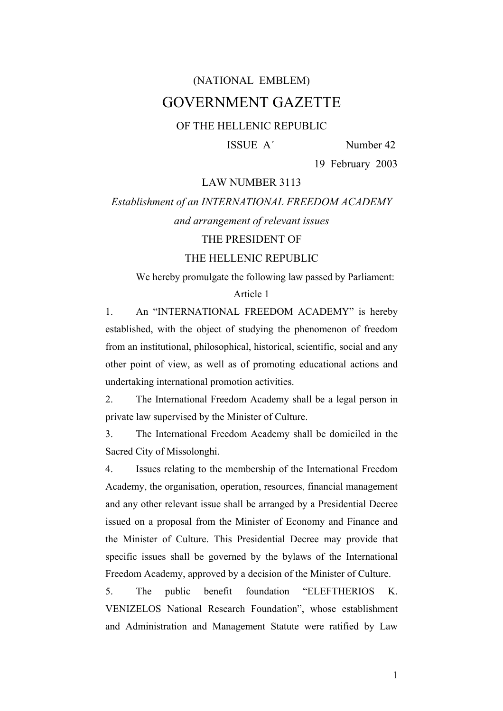# (NATIONAL EMBLEM) GOVERNMENT GAZETTE

# OF THE HELLENIC REPUBLIC

ISSUE A΄ Number 42

19 February 2003

#### LAW NUMBER 3113

#### *Establishment of an INTERNATIONAL FREEDOM ACADEMY*

# *and arrangement of relevant issues*

# THE PRESIDENT OF

### THE HELLENIC REPUBLIC

We hereby promulgate the following law passed by Parliament:

#### Article 1

1. An "INTERNATIONAL FREEDOM ACADEMY" is hereby established, with the object of studying the phenomenon of freedom from an institutional, philosophical, historical, scientific, social and any other point of view, as well as of promoting educational actions and undertaking international promotion activities.

2. The International Freedom Academy shall be a legal person in private law supervised by the Minister of Culture.

3. The International Freedom Academy shall be domiciled in the Sacred City of Missolonghi.

4. Issues relating to the membership of the International Freedom Academy, the organisation, operation, resources, financial management and any other relevant issue shall be arranged by a Presidential Decree issued on a proposal from the Minister of Economy and Finance and the Minister of Culture. This Presidential Decree may provide that specific issues shall be governed by the bylaws of the International Freedom Academy, approved by a decision of the Minister of Culture.

5. The public benefit foundation "ELEFTHERIOS K. VENIZELOS National Research Foundation", whose establishment and Administration and Management Statute were ratified by Law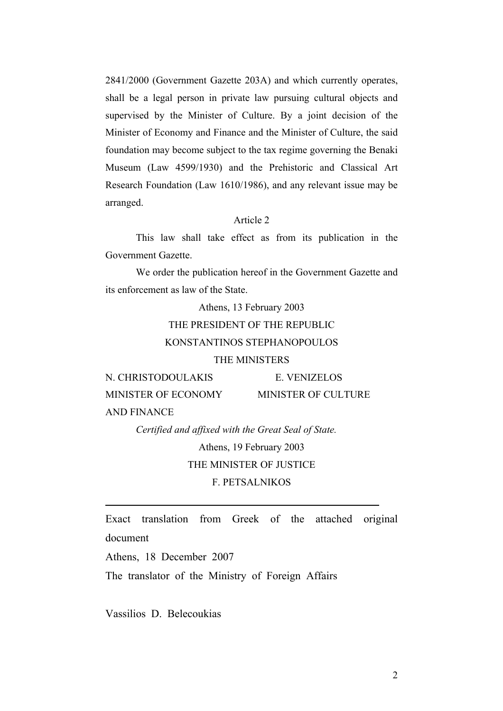2841/2000 (Government Gazette 203A) and which currently operates, shall be a legal person in private law pursuing cultural objects and supervised by the Minister of Culture. By a joint decision of the Minister of Economy and Finance and the Minister of Culture, the said foundation may become subject to the tax regime governing the Benaki Museum (Law 4599/1930) and the Prehistoric and Classical Art Research Foundation (Law 1610/1986), and any relevant issue may be arranged.

# Article 2

 This law shall take effect as from its publication in the Government Gazette.

 We order the publication hereof in the Government Gazette and its enforcement as law of the State.

> Athens, 13 February 2003 THE PRESIDENT OF THE REPUBLIC KONSTANTINOS STEPHANOPOULOS THE MINISTERS

N. CHRISTODOULAKIS E. VENIZELOS MINISTER OF ECONOMY MINISTER OF CULTURE AND FINANCE

> *Certified and affixed with the Great Seal of State.*  Athens, 19 February 2003 THE MINISTER OF JUSTICE

> > F. PETSALNIKOS

Exact translation from Greek of the attached original document

Athens, 18 December 2007

 $\overline{a}$ 

The translator of the Ministry of Foreign Affairs

Vassilios D. Belecoukias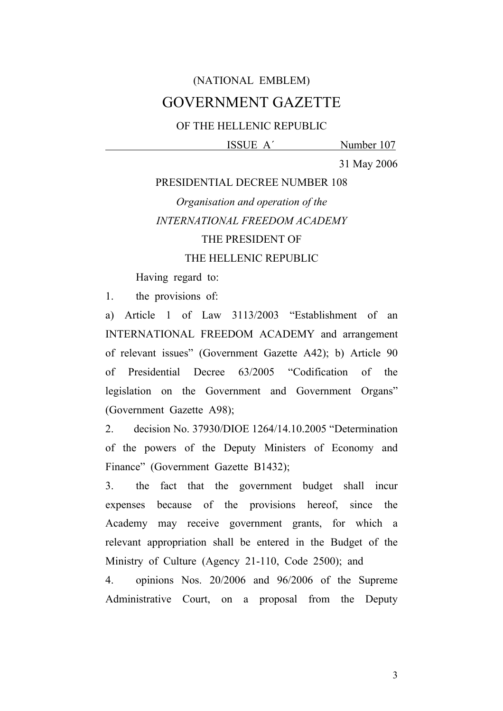# (NATIONAL EMBLEM) GOVERNMENT GAZETTE

# OF THE HELLENIC REPUBLIC

# ISSUE A΄ Number 107

31 May 2006

# PRESIDENTIAL DECREE NUMBER 108

# *Organisation and operation of the INTERNATIONAL FREEDOM ACADEMY* THE PRESIDENT OF THE HELLENIC REPUBLIC

Having regard to:

1. the provisions of:

a) Article 1 of Law 3113/2003 "Establishment of an INTERNATIONAL FREEDOM ACADEMY and arrangement of relevant issues" (Government Gazette A42); b) Article 90 of Presidential Decree 63/2005 "Codification of the legislation on the Government and Government Organs" (Government Gazette A98);

2. decision No. 37930/DIOE 1264/14.10.2005 "Determination of the powers of the Deputy Ministers of Economy and Finance" (Government Gazette B1432);

3. the fact that the government budget shall incur expenses because of the provisions hereof, since the Academy may receive government grants, for which a relevant appropriation shall be entered in the Budget of the Ministry of Culture (Agency 21-110, Code 2500); and

4. opinions Nos. 20/2006 and 96/2006 of the Supreme Administrative Court, on a proposal from the Deputy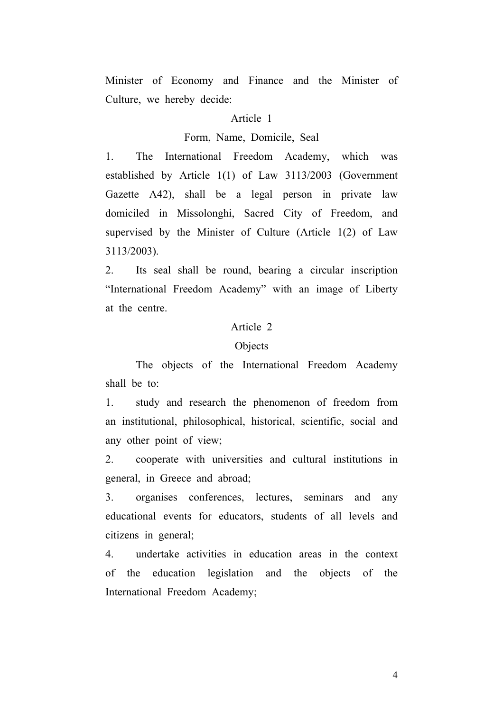Minister of Economy and Finance and the Minister of Culture, we hereby decide:

#### Article 1

### Form, Name, Domicile, Seal

1. The International Freedom Academy, which was established by Article 1(1) of Law 3113/2003 (Government Gazette A42), shall be a legal person in private law domiciled in Missolonghi, Sacred City of Freedom, and supervised by the Minister of Culture (Article 1(2) of Law 3113/2003).

2. Its seal shall be round, bearing a circular inscription "International Freedom Academy" with an image of Liberty at the centre.

#### Article 2

### Objects

 The objects of the International Freedom Academy shall be to:

1. study and research the phenomenon of freedom from an institutional, philosophical, historical, scientific, social and any other point of view;

2. cooperate with universities and cultural institutions in general, in Greece and abroad;

3. organises conferences, lectures, seminars and any educational events for educators, students of all levels and citizens in general;

4. undertake activities in education areas in the context of the education legislation and the objects of the International Freedom Academy;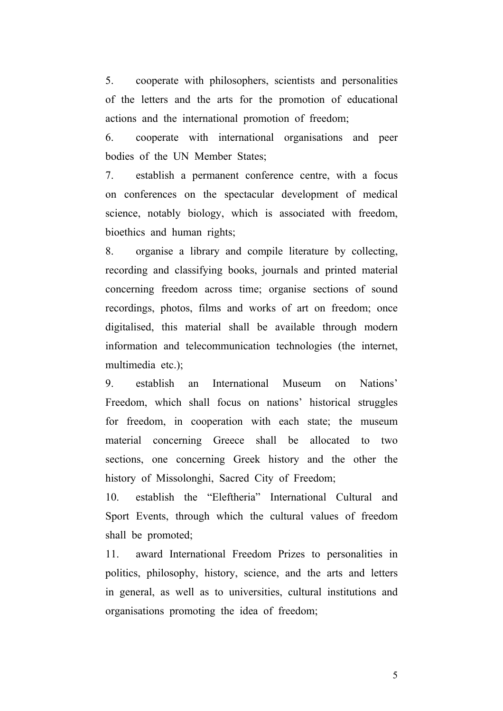5. cooperate with philosophers, scientists and personalities of the letters and the arts for the promotion of educational actions and the international promotion of freedom;

6. cooperate with international organisations and peer bodies of the UN Member States;

7. establish a permanent conference centre, with a focus on conferences on the spectacular development of medical science, notably biology, which is associated with freedom, bioethics and human rights;

8. organise a library and compile literature by collecting, recording and classifying books, journals and printed material concerning freedom across time; organise sections of sound recordings, photos, films and works of art on freedom; once digitalised, this material shall be available through modern information and telecommunication technologies (the internet, multimedia etc.);

9. establish an International Museum on Nations' Freedom, which shall focus on nations' historical struggles for freedom, in cooperation with each state; the museum material concerning Greece shall be allocated to two sections, one concerning Greek history and the other the history of Missolonghi, Sacred City of Freedom;

10. establish the "Eleftheria" International Cultural and Sport Events, through which the cultural values of freedom shall be promoted;

11. award International Freedom Prizes to personalities in politics, philosophy, history, science, and the arts and letters in general, as well as to universities, cultural institutions and organisations promoting the idea of freedom;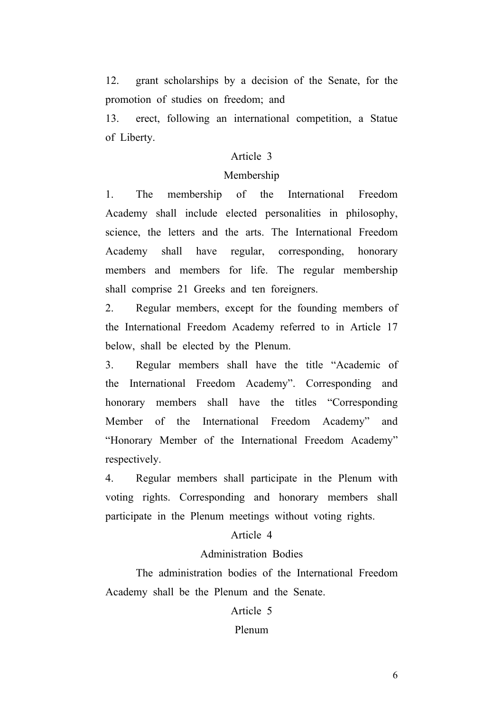12. grant scholarships by a decision of the Senate, for the promotion of studies on freedom; and

13. erect, following an international competition, a Statue of Liberty.

# Article 3

#### Membership

1. The membership of the International Freedom Academy shall include elected personalities in philosophy, science, the letters and the arts. The International Freedom Academy shall have regular, corresponding, honorary members and members for life. The regular membership shall comprise 21 Greeks and ten foreigners.

2. Regular members, except for the founding members of the International Freedom Academy referred to in Article 17 below, shall be elected by the Plenum.

3. Regular members shall have the title "Academic of the International Freedom Academy". Corresponding and honorary members shall have the titles "Corresponding Member of the International Freedom Academy" and "Honorary Member of the International Freedom Academy" respectively.

4. Regular members shall participate in the Plenum with voting rights. Corresponding and honorary members shall participate in the Plenum meetings without voting rights.

#### Article 4

# Administration Bodies

 The administration bodies of the International Freedom Academy shall be the Plenum and the Senate.

#### Article 5

#### Plenum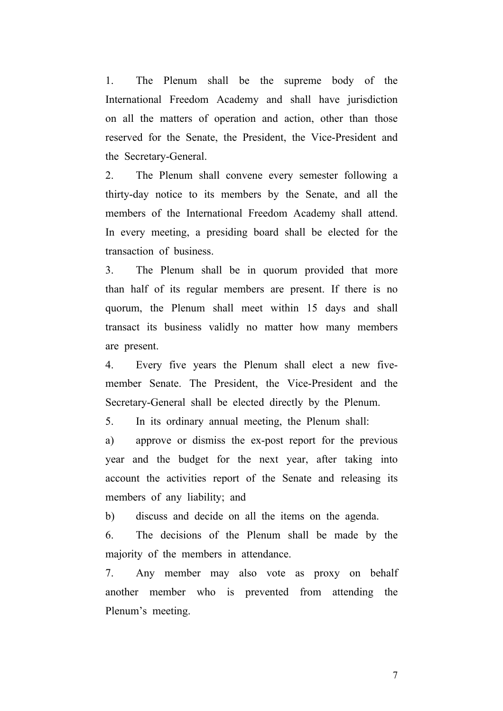1. The Plenum shall be the supreme body of the International Freedom Academy and shall have jurisdiction on all the matters of operation and action, other than those reserved for the Senate, the President, the Vice-President and the Secretary-General.

2. The Plenum shall convene every semester following a thirty-day notice to its members by the Senate, and all the members of the International Freedom Academy shall attend. In every meeting, a presiding board shall be elected for the transaction of business.

3. The Plenum shall be in quorum provided that more than half of its regular members are present. If there is no quorum, the Plenum shall meet within 15 days and shall transact its business validly no matter how many members are present.

4. Every five years the Plenum shall elect a new fivemember Senate. The President, the Vice-President and the Secretary-General shall be elected directly by the Plenum.

5. In its ordinary annual meeting, the Plenum shall:

a) approve or dismiss the ex-post report for the previous year and the budget for the next year, after taking into account the activities report of the Senate and releasing its members of any liability; and

b) discuss and decide on all the items on the agenda.

6. The decisions of the Plenum shall be made by the majority of the members in attendance.

7. Any member may also vote as proxy on behalf another member who is prevented from attending the Plenum's meeting.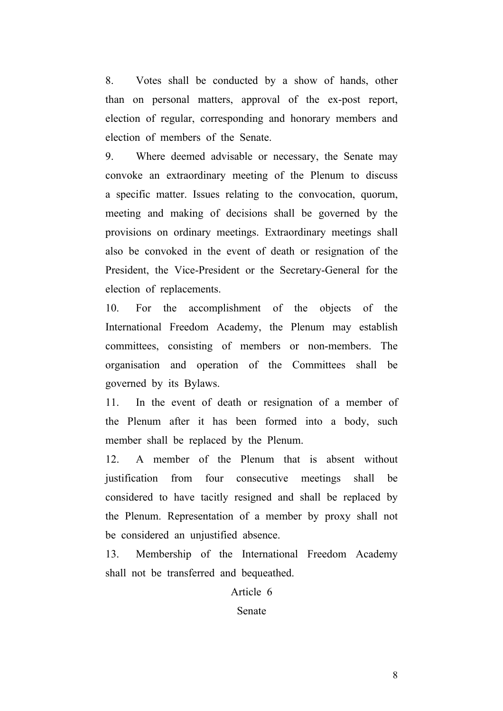8. Votes shall be conducted by a show of hands, other than on personal matters, approval of the ex-post report, election of regular, corresponding and honorary members and election of members of the Senate.

9. Where deemed advisable or necessary, the Senate may convoke an extraordinary meeting of the Plenum to discuss a specific matter. Issues relating to the convocation, quorum, meeting and making of decisions shall be governed by the provisions on ordinary meetings. Extraordinary meetings shall also be convoked in the event of death or resignation of the President, the Vice-President or the Secretary-General for the election of replacements.

10. For the accomplishment of the objects of the International Freedom Academy, the Plenum may establish committees, consisting of members or non-members. The organisation and operation of the Committees shall be governed by its Bylaws.

11. In the event of death or resignation of a member of the Plenum after it has been formed into a body, such member shall be replaced by the Plenum.

12. A member of the Plenum that is absent without justification from four consecutive meetings shall be considered to have tacitly resigned and shall be replaced by the Plenum. Representation of a member by proxy shall not be considered an unjustified absence.

13. Membership of the International Freedom Academy shall not be transferred and bequeathed.

Article 6

Senate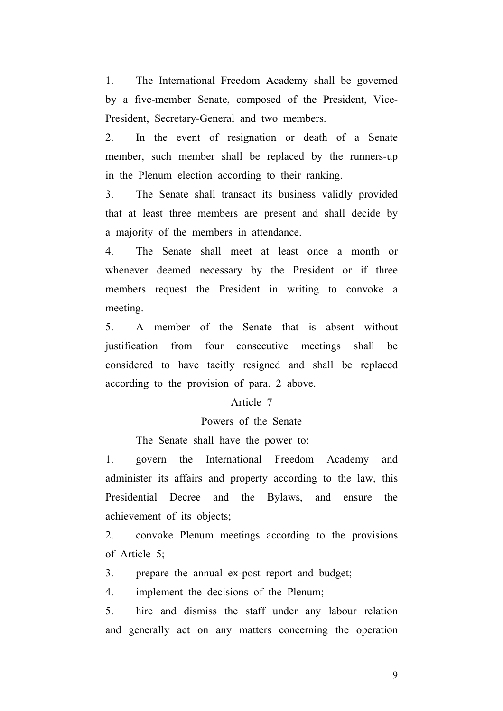1. The International Freedom Academy shall be governed by a five-member Senate, composed of the President, Vice-President, Secretary-General and two members.

2. In the event of resignation or death of a Senate member, such member shall be replaced by the runners-up in the Plenum election according to their ranking.

3. The Senate shall transact its business validly provided that at least three members are present and shall decide by a majority of the members in attendance.

4. The Senate shall meet at least once a month or whenever deemed necessary by the President or if three members request the President in writing to convoke a meeting.

5. A member of the Senate that is absent without justification from four consecutive meetings shall be considered to have tacitly resigned and shall be replaced according to the provision of para. 2 above.

# Article 7

# Powers of the Senate

The Senate shall have the power to:

1. govern the International Freedom Academy and administer its affairs and property according to the law, this Presidential Decree and the Bylaws, and ensure the achievement of its objects;

2. convoke Plenum meetings according to the provisions of Article 5;

3. prepare the annual ex-post report and budget;

4. implement the decisions of the Plenum;

5. hire and dismiss the staff under any labour relation and generally act on any matters concerning the operation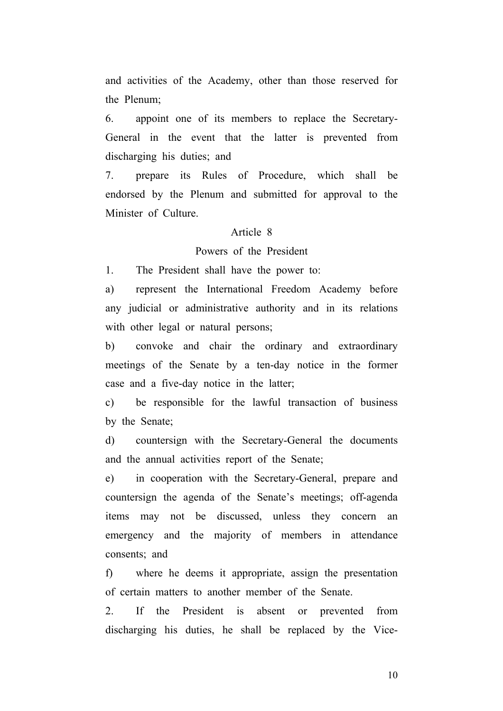and activities of the Academy, other than those reserved for the Plenum;

6. appoint one of its members to replace the Secretary-General in the event that the latter is prevented from discharging his duties; and

7. prepare its Rules of Procedure, which shall be endorsed by the Plenum and submitted for approval to the Minister of Culture.

# Article 8

# Powers of the President

1. The President shall have the power to:

a) represent the International Freedom Academy before any judicial or administrative authority and in its relations with other legal or natural persons;

b) convoke and chair the ordinary and extraordinary meetings of the Senate by a ten-day notice in the former case and a five-day notice in the latter;

c) be responsible for the lawful transaction of business by the Senate;

d) countersign with the Secretary-General the documents and the annual activities report of the Senate;

e) in cooperation with the Secretary-General, prepare and countersign the agenda of the Senate's meetings; off-agenda items may not be discussed, unless they concern an emergency and the majority of members in attendance consents; and

f) where he deems it appropriate, assign the presentation of certain matters to another member of the Senate.

2. If the President is absent or prevented from discharging his duties, he shall be replaced by the Vice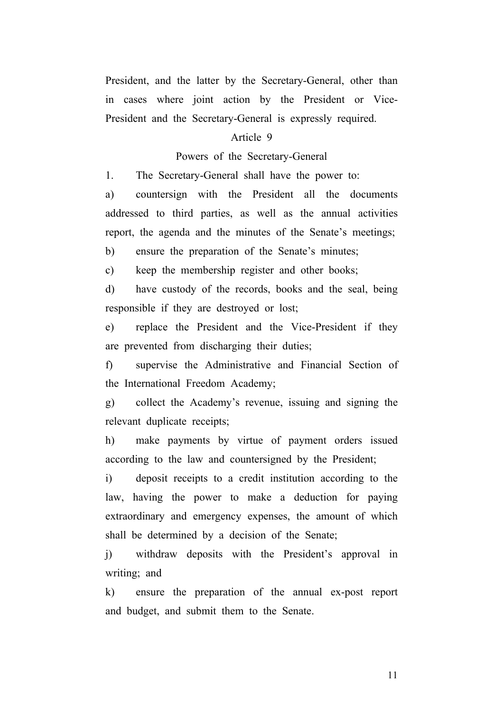President, and the latter by the Secretary-General, other than in cases where joint action by the President or Vice-President and the Secretary-General is expressly required.

# Article 9

#### Powers of the Secretary-General

1. The Secretary-General shall have the power to:

a) countersign with the President all the documents addressed to third parties, as well as the annual activities report, the agenda and the minutes of the Senate's meetings;

b) ensure the preparation of the Senate's minutes;

c) keep the membership register and other books;

d) have custody of the records, books and the seal, being responsible if they are destroyed or lost;

e) replace the President and the Vice-President if they are prevented from discharging their duties;

f) supervise the Administrative and Financial Section of the International Freedom Academy;

g) collect the Academy's revenue, issuing and signing the relevant duplicate receipts;

h) make payments by virtue of payment orders issued according to the law and countersigned by the President;

i) deposit receipts to a credit institution according to the law, having the power to make a deduction for paying extraordinary and emergency expenses, the amount of which shall be determined by a decision of the Senate;

j) withdraw deposits with the President's approval in writing; and

k) ensure the preparation of the annual ex-post report and budget, and submit them to the Senate.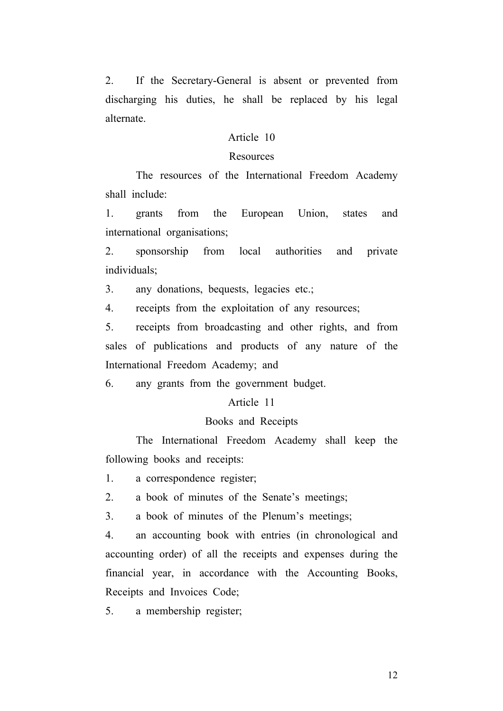2. If the Secretary-General is absent or prevented from discharging his duties, he shall be replaced by his legal alternate.

### Article 10

#### Resources

 The resources of the International Freedom Academy shall include:

1. grants from the European Union, states and international organisations;

2. sponsorship from local authorities and private individuals;

3. any donations, bequests, legacies etc.;

4. receipts from the exploitation of any resources;

5. receipts from broadcasting and other rights, and from sales of publications and products of any nature of the International Freedom Academy; and

6. any grants from the government budget.

# Article 11

#### Books and Receipts

The International Freedom Academy shall keep the following books and receipts:

1. a correspondence register;

2. a book of minutes of the Senate's meetings;

3. a book of minutes of the Plenum's meetings;

4. an accounting book with entries (in chronological and accounting order) of all the receipts and expenses during the financial year, in accordance with the Accounting Books, Receipts and Invoices Code;

5. a membership register;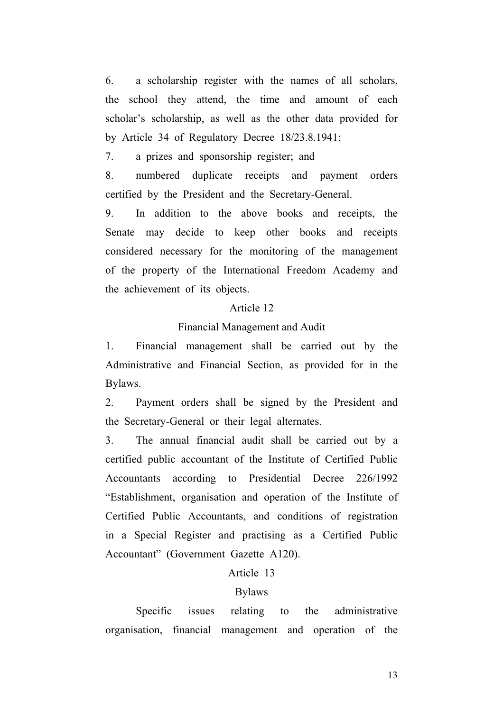6. a scholarship register with the names of all scholars, the school they attend, the time and amount of each scholar's scholarship, as well as the other data provided for by Article 34 of Regulatory Decree 18/23.8.1941;

7. a prizes and sponsorship register; and

8. numbered duplicate receipts and payment orders certified by the President and the Secretary-General.

9. In addition to the above books and receipts, the Senate may decide to keep other books and receipts considered necessary for the monitoring of the management of the property of the International Freedom Academy and the achievement of its objects.

#### Article 12

#### Financial Management and Audit

1. Financial management shall be carried out by the Administrative and Financial Section, as provided for in the Bylaws.

2. Payment orders shall be signed by the President and the Secretary-General or their legal alternates.

3. The annual financial audit shall be carried out by a certified public accountant of the Institute of Certified Public Accountants according to Presidential Decree 226/1992 "Establishment, organisation and operation of the Institute of Certified Public Accountants, and conditions of registration in a Special Register and practising as a Certified Public Accountant" (Government Gazette A120).

### Article 13

#### Bylaws

 Specific issues relating to the administrative organisation, financial management and operation of the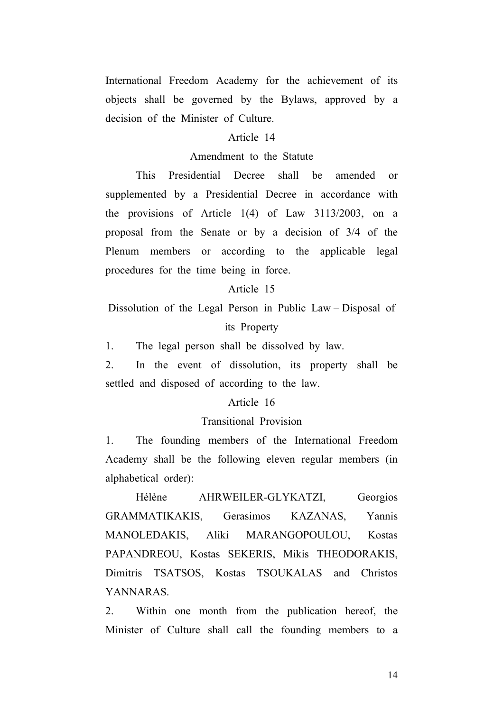International Freedom Academy for the achievement of its objects shall be governed by the Bylaws, approved by a decision of the Minister of Culture.

### Article 14

### Amendment to the Statute

 This Presidential Decree shall be amended or supplemented by a Presidential Decree in accordance with the provisions of Article 1(4) of Law 3113/2003, on a proposal from the Senate or by a decision of 3/4 of the Plenum members or according to the applicable legal procedures for the time being in force.

#### Article 15

Dissolution of the Legal Person in Public Law – Disposal of its Property

1. The legal person shall be dissolved by law.

2. In the event of dissolution, its property shall be settled and disposed of according to the law.

#### Article 16

#### Transitional Provision

1. The founding members of the International Freedom Academy shall be the following eleven regular members (in alphabetical order):

 Hélène AHRWEILER-GLYKATZI, Georgios GRAMMATIKAKIS, Gerasimos KAZANAS, Yannis MANOLEDAKIS, Aliki MARANGOPOULOU, Kostas PAPANDREOU, Kostas SEKERIS, Mikis THEODORAKIS, Dimitris TSATSOS, Kostas TSOUKALAS and Christos YANNARAS.

2. Within one month from the publication hereof, the Minister of Culture shall call the founding members to a